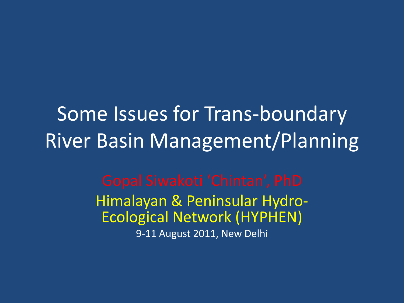Some Issues for Trans-boundary River Basin Management/Planning

> Himalayan & Peninsular Hydro-Ecological Network (HYPHEN) 9-11 August 2011, New Delhi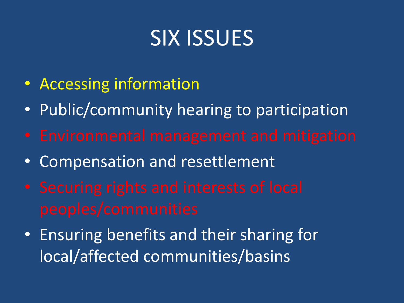## SIX ISSUES

- Accessing information
- Public/community hearing to participation
- 
- Compensation and resettlement
- 
- Ensuring benefits and their sharing for local/affected communities/basins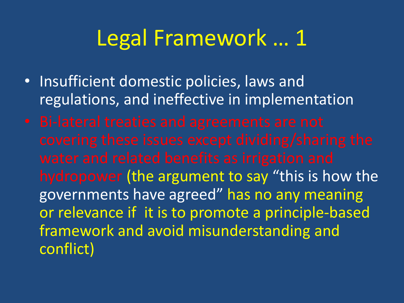### Legal Framework … 1

- Insufficient domestic policies, laws and regulations, and ineffective in implementation
- hydropower (the argument to say "this is how the governments have agreed" has no any meaning or relevance if it is to promote a principle-based framework and avoid misunderstanding and conflict)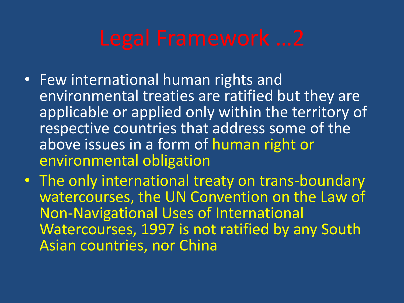- Few international human rights and environmental treaties are ratified but they are applicable or applied only within the territory of respective countries that address some of the above issues in a form of human right or environmental obligation
- The only international treaty on trans-boundary watercourses, the UN Convention on the Law of Non-Navigational Uses of International Watercourses, 1997 is not ratified by any South Asian countries, nor China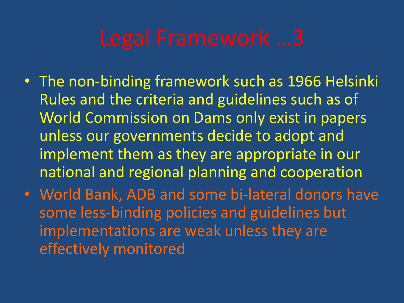- The non-binding framework such as 1966 Helsinki Rules and the criteria and guidelines such as of World Commission on Dams only exist in papers unless our governments decide to adopt and implement them as they are appropriate in our national and regional planning and cooperation
- World Bank, ADB and some bi-lateral donors have some less-binding policies and guidelines but implementations are weak unless they are effectively monitored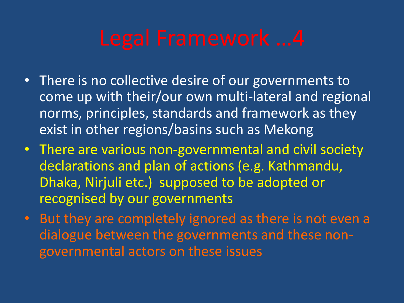- There is no collective desire of our governments to come up with their/our own multi-lateral and regional norms, principles, standards and framework as they exist in other regions/basins such as Mekong
- There are various non-governmental and civil society declarations and plan of actions (e.g. Kathmandu, Dhaka, Nirjuli etc.) supposed to be adopted or recognised by our governments
- But they are completely ignored as there is not even a dialogue between the governments and these nongovernmental actors on these issues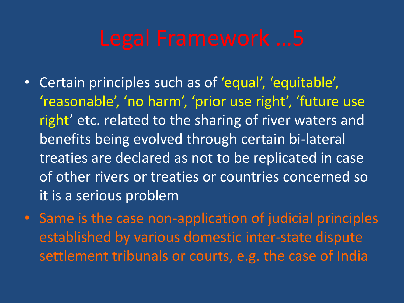- Certain principles such as of 'equal', 'equitable', 'reasonable', 'no harm', 'prior use right', 'future use right' etc. related to the sharing of river waters and benefits being evolved through certain bi-lateral treaties are declared as not to be replicated in case of other rivers or treaties or countries concerned so it is a serious problem
- Same is the case non-application of judicial principles established by various domestic inter-state dispute settlement tribunals or courts, e.g. the case of India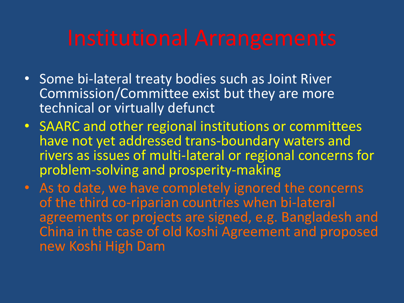- Some bi-lateral treaty bodies such as Joint River Commission/Committee exist but they are more technical or virtually defunct
- SAARC and other regional institutions or committees have not yet addressed trans-boundary waters and rivers as issues of multi-lateral or regional concerns for problem-solving and prosperity-making
- As to date, we have completely ignored the concerns of the third co-riparian countries when bi-lateral agreements or projects are signed, e.g. Bangladesh and China in the case of old Koshi Agreement and proposed new Koshi High Dam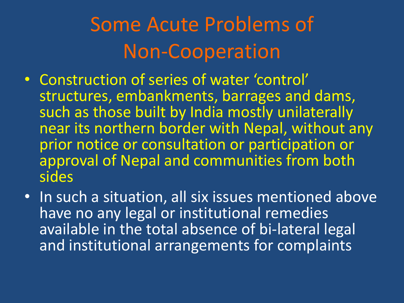# Some Acute Problems of Non-Cooperation

- Construction of series of water 'control' structures, embankments, barrages and dams, such as those built by India mostly unilaterally near its northern border with Nepal, without any prior notice or consultation or participation or approval of Nepal and communities from both sides
- In such a situation, all six issues mentioned above have no any legal or institutional remedies available in the total absence of bi-lateral legal and institutional arrangements for complaints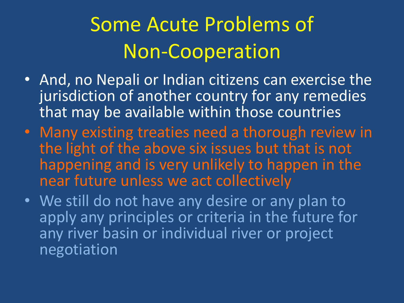# Some Acute Problems of Non-Cooperation

- And, no Nepali or Indian citizens can exercise the jurisdiction of another country for any remedies that may be available within those countries
- Many existing treaties need a thorough review in the light of the above six issues but that is not happening and is very unlikely to happen in the near future unless we act collectively
- We still do not have any desire or any plan to apply any principles or criteria in the future for any river basin or individual river or project negotiation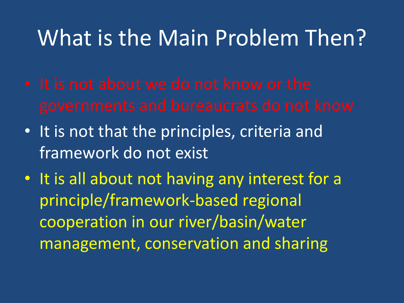### What is the Main Problem Then?

- 
- It is not that the principles, criteria and framework do not exist
- It is all about not having any interest for a principle/framework-based regional cooperation in our river/basin/water management, conservation and sharing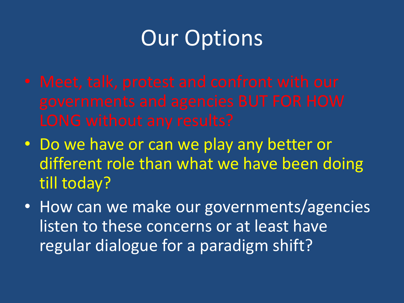# Our Options

- 
- Do we have or can we play any better or different role than what we have been doing till today?
- How can we make our governments/agencies listen to these concerns or at least have regular dialogue for a paradigm shift?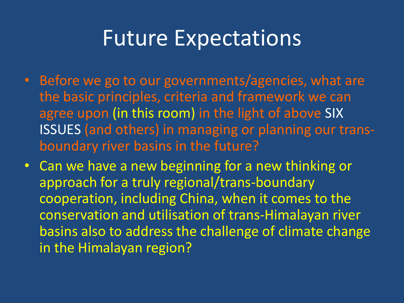### Future Expectations

- Before we go to our governments/agencies, what are the basic principles, criteria and framework we can agree upon (in this room) in the light of above SIX ISSUES (and others) in managing or planning our transboundary river basins in the future?
- Can we have a new beginning for a new thinking or approach for a truly regional/trans-boundary cooperation, including China, when it comes to the conservation and utilisation of trans-Himalayan river basins also to address the challenge of climate change in the Himalayan region?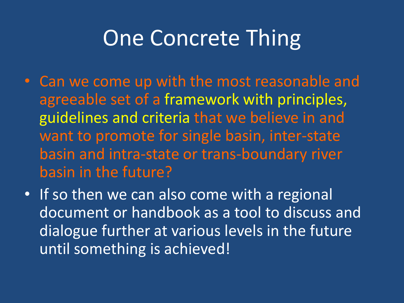## One Concrete Thing

- Can we come up with the most reasonable and agreeable set of a framework with principles, guidelines and criteria that we believe in and want to promote for single basin, inter-state basin and intra-state or trans-boundary river basin in the future?
- If so then we can also come with a regional document or handbook as a tool to discuss and dialogue further at various levels in the future until something is achieved!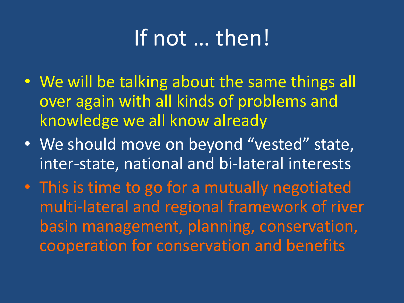# If not … then!

- We will be talking about the same things all over again with all kinds of problems and knowledge we all know already
- We should move on beyond "vested" state, inter-state, national and bi-lateral interests
- This is time to go for a mutually negotiated multi-lateral and regional framework of river basin management, planning, conservation, cooperation for conservation and benefits